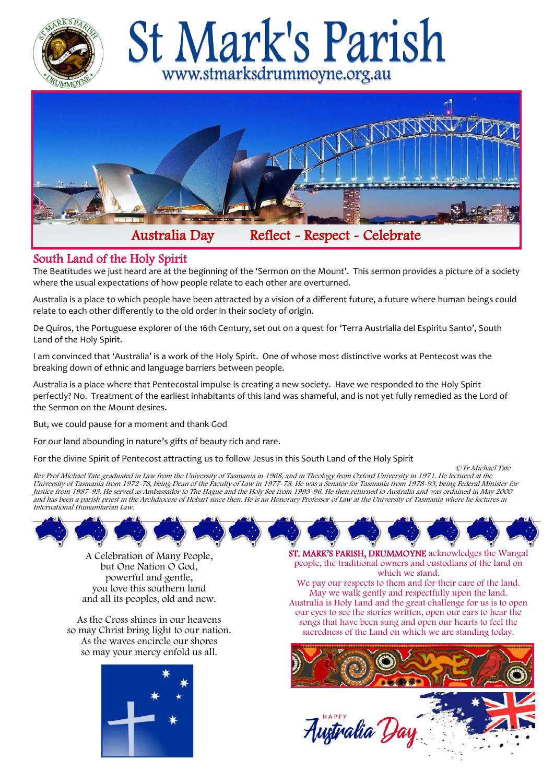





# South Land of the Holy Spirit

The Beatitudes we just heard are at the beginning of the 'Sermon on the Mount'. This sermon provides a picture of a society where the usual expectations of how people relate to each other are overturned.

Australia is a place to which people have been attracted by a vision of a different future, a future where human beings could relate to each other differently to the old order in their society of origin.

De Quiros, the Portuguese explorer of the 16th Century, set out on a quest for 'Terra Austrialia del Espiritu Santo', South Land of the Holy Spirit.

I am convinced that 'Australia' is a work of the Holy Spirit. One of whose most distinctive works at Pentecost was the breaking down of ethnic and language barriers between people.

Australia is a place where that Pentecostal impulse is creating a new society. Have we responded to the Holy Spirit perfectly? No. Treatment of the earliest inhabitants of this land was shameful, and is not yet fully remedied as the Lord of the Sermon on the Mount desires.

But, we could pause for a moment and thank God

For our land abounding in nature's gifts of beauty rich and rare.

For the divine Spirit of Pentecost attracting us to follow Jesus in this South Land of the Holy Spirit

Rev Prof Michael Tate graduated in Law from the University of Tasmania in 1968, and in Theology from Oxford University in 1971. He lectured at the University of Tasmania from 1972-78, being Dean of the Faculty of Law in 1977-78. He was a Senator for Tasmania from 1978-93, being Federal Minister for Justice from 1987-93. He served as Ambassador to The Hague and the Holy See from 1993-96. He then returned to Australia and was ordained in May 2000 and has been a parish priest in the Archdiocese of Hobart since then. He is an Honorary Professor of Law at the University of Tasmania where he lectures in International Humanitarian Law.



A Celebration of Many People, but One Nation O God, powerful and gentle, you love this southern land and all its peoples, old and new.

As the Cross shines in our heavens so may Christ bring light to our nation. As the waves encircle our shores so may your mercy enfold us all.



ST. MARK'S PARISH, DRUMMOYNE acknowledges the Wangal people, the traditional owners and custodians of the land on which we stand. We pay our respects to them and for their care of the land.

© Fr Michael Tate

May we walk gently and respectfully upon the land. Australia is Holy Land and the great challenge for us is to open our eyes to see the stories written, open our ears to hear the songs that have been sung and open our hearts to feel the sacredness of the Land on which we are standing today.

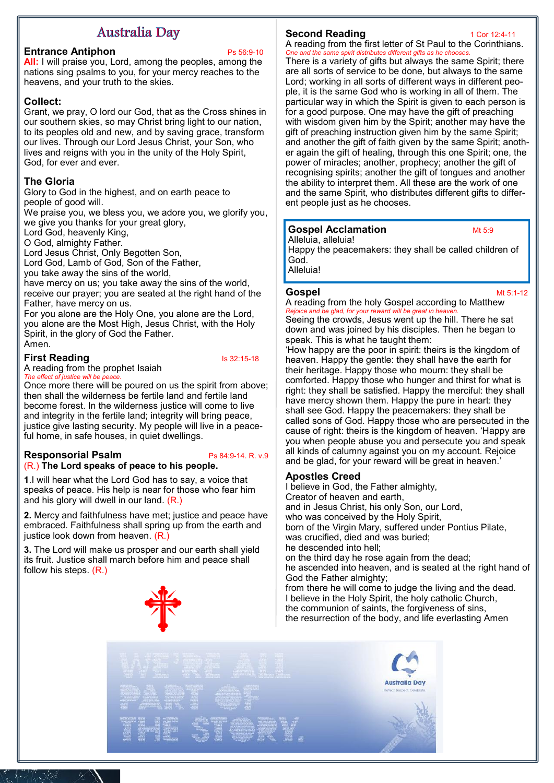# Australia Day

#### **Entrance Antiphon** Ps 56:9-10

**All:** I will praise you, Lord, among the peoples, among the nations sing psalms to you, for your mercy reaches to the heavens, and your truth to the skies.

### **Collect:**

Grant, we pray, O lord our God, that as the Cross shines in our southern skies, so may Christ bring light to our nation, to its peoples old and new, and by saving grace, transform our lives. Through our Lord Jesus Christ, your Son, who lives and reigns with you in the unity of the Holy Spirit, God, for ever and ever.

### **The Gloria**

Glory to God in the highest, and on earth peace to people of good will.

We praise you, we bless you, we adore you, we glorify you, we give you thanks for your great glory,

Lord God, heavenly King,

O God, almighty Father.

Lord Jesus Christ, Only Begotten Son,

Lord God, Lamb of God, Son of the Father,

you take away the sins of the world,

have mercy on us; you take away the sins of the world, receive our prayer; you are seated at the right hand of the Father, have mercy on us.

For you alone are the Holy One, you alone are the Lord, you alone are the Most High, Jesus Christ, with the Holy Spirit, in the glory of God the Father. Amen.

#### **First Reading** Is 32:15-18

A reading from the prophet Isaiah *The effect of justice will be* 

Once more there will be poured on us the spirit from above; then shall the wilderness be fertile land and fertile land become forest. In the wilderness justice will come to live and integrity in the fertile land; integrity will bring peace, justice give lasting security. My people will live in a peaceful home, in safe houses, in quiet dwellings.

#### **Responsorial Psalm** Ps 84:9-14. R. v.9 (R.) **The Lord speaks of peace to his people.**

**1**.I will hear what the Lord God has to say, a voice that speaks of peace. His help is near for those who fear him and his glory will dwell in our land. (R.)

**2.** Mercy and faithfulness have met; justice and peace have embraced. Faithfulness shall spring up from the earth and justice look down from heaven.  $(R<sub>1</sub>)$ 

**3.** The Lord will make us prosper and our earth shall yield its fruit. Justice shall march before him and peace shall follow his steps. (R.)



#### **Second Reading**  1 Cor 12:4-11

A reading from the first letter of St Paul to the Corinthians. *One and the same spirit distributes different gifts as he chooses.*

There is a variety of gifts but always the same Spirit; there are all sorts of service to be done, but always to the same Lord; working in all sorts of different ways in different people, it is the same God who is working in all of them. The particular way in which the Spirit is given to each person is for a good purpose. One may have the gift of preaching with wisdom given him by the Spirit; another may have the gift of preaching instruction given him by the same Spirit; and another the gift of faith given by the same Spirit; another again the gift of healing, through this one Spirit; one, the power of miracles; another, prophecy; another the gift of recognising spirits; another the gift of tongues and another the ability to interpret them. All these are the work of one and the same Spirit, who distributes different gifts to different people just as he chooses.

### **Gospel Acclamation** Mt 5:9

Alleluia, alleluia! Happy the peacemakers: they shall be called children of God.

Alleluia!

#### **Gospel** Mt 5:1-12

A reading from the holy Gospel according to Matthew **Rejoice and be glad, for your reward will be great in heaven.** 

Seeing the crowds, Jesus went up the hill. There he sat down and was joined by his disciples. Then he began to speak. This is what he taught them:

'How happy are the poor in spirit: theirs is the kingdom of heaven. Happy the gentle: they shall have the earth for their heritage. Happy those who mourn: they shall be comforted. Happy those who hunger and thirst for what is right: they shall be satisfied. Happy the merciful: they shall have mercy shown them. Happy the pure in heart: they shall see God. Happy the peacemakers: they shall be called sons of God. Happy those who are persecuted in the cause of right: theirs is the kingdom of heaven. 'Happy are you when people abuse you and persecute you and speak all kinds of calumny against you on my account. Rejoice and be glad, for your reward will be great in heaven.'

# **Apostles Creed**

I believe in God, the Father almighty, Creator of heaven and earth, and in Jesus Christ, his only Son, our Lord, who was conceived by the Holy Spirit, born of the Virgin Mary, suffered under Pontius Pilate, was crucified, died and was buried; he descended into hell; on the third day he rose again from the dead; he ascended into heaven, and is seated at the right hand of God the Father almighty; from there he will come to judge the living and the dead. I believe in the Holy Spirit, the holy catholic Church, the communion of saints, the forgiveness of sins, the resurrection of the body, and life everlasting Amen

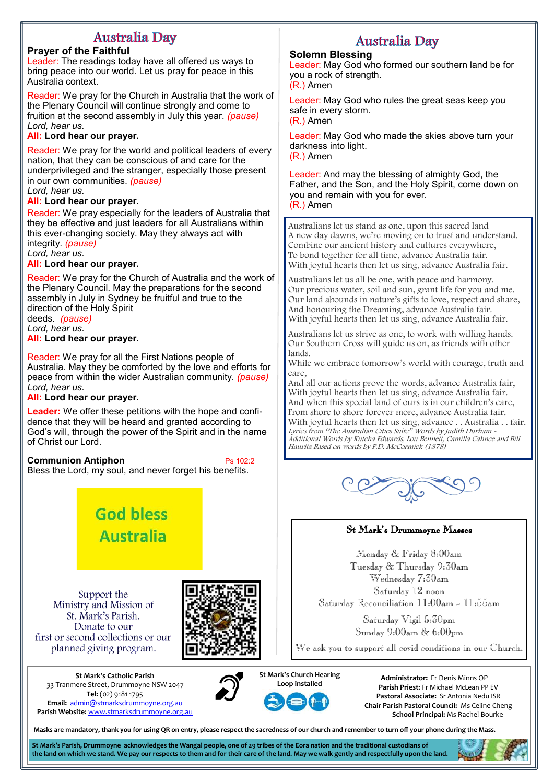# Australia Day

# **Prayer of the Faithful**

Leader: The readings today have all offered us ways to bring peace into our world. Let us pray for peace in this Australia context.

Reader: We pray for the Church in Australia that the work of the Plenary Council will continue strongly and come to fruition at the second assembly in July this year. *(pause) Lord, hear us.*

## **All: Lord hear our prayer.**

Reader: We pray for the world and political leaders of every nation, that they can be conscious of and care for the underprivileged and the stranger, especially those present in our own communities. *(pause)* 

*Lord, hear us.*

### **All: Lord hear our prayer.**

Reader: We pray especially for the leaders of Australia that they be effective and just leaders for all Australians within this ever-changing society. May they always act with integrity. *(pause)* 

*Lord, hear us.*

### **All: Lord hear our prayer.**

Reader: We pray for the Church of Australia and the work of the Plenary Council. May the preparations for the second assembly in July in Sydney be fruitful and true to the direction of the Holy Spirit deeds. *(pause)* 

*Lord, hear us.*

#### **All: Lord hear our prayer.**

Reader: We pray for all the First Nations people of Australia. May they be comforted by the love and efforts for peace from within the wider Australian community. *(pause) Lord, hear us.*

# **All: Lord hear our prayer.**

**Leader:** We offer these petitions with the hope and confidence that they will be heard and granted according to God's will, through the power of the Spirit and in the name of Christ our Lord.

**Communion Antiphon**<br> **Ps 102:2** Bless the Lord, my soul, and never forget his benefits.

# **God bless Australia**

Support the Ministry and Mission of St. Mark's Parish. Donate to our first or second collections or our planned giving program.



**St Mark's Catholic Parish**  33 Tranmere Street, Drummoyne NSW 2047 **Tel:** (02) 9181 1795 **Email:** [admin@stmarksdrummoyne.org.au](https://www.stmarksdrummoyne.org.au/contact-us/)  **Parish Website:** [www.stmarksdrummoyne.org.au](https://www.stmarksdrummoyne.org.au/) **St Mark's Church Hearing Loop installed** 



**Administrator:** Fr Denis Minns OP **Parish Priest:** Fr Michael McLean PP EV **Pastoral Associate:** Sr Antonia Nedu ISR **Chair Parish Pastoral Council:** Ms Celine Cheng **School Principal:** Ms Rachel Bourke

**Masks are mandatory, thank you for using QR on entry, please respect the sacredness of our church and remember to turn off your phone during the Mass.** 

**St Mark's Parish, Drummoyne acknowledges the Wangal people, one of 29 tribes of the Eora nation and the traditional custodians of the land on which we stand. We pay our respects to them and for their care of the land. May we walk gently and respectfully upon the land.**

# Australia Day

# **Solemn Blessing**

Leader: May God who formed our southern land be for you a rock of strength. (R.) Amen

' Leader: May God who rules the great seas keep you safe in every storm.

(R.) Amen

Leader: May God who made the skies above turn your darkness into light. (R.) Amen

Leader: And may the blessing of almighty God, the Father, and the Son, and the Holy Spirit, come down on you and remain with you for ever. (R.) Amen

Australians let us stand as one, upon this sacred land A new day dawns, we're moving on to trust and understand. Combine our ancient history and cultures everywhere, To bond together for all time, advance Australia fair. With joyful hearts then let us sing, advance Australia fair.

Australians let us all be one, with peace and harmony. Our precious water, soil and sun, grant life for you and me. Our land abounds in nature's gifts to love, respect and share, And honouring the Dreaming, advance Australia fair. With joyful hearts then let us sing, advance Australia fair.

Australians let us strive as one, to work with willing hands. Our Southern Cross will guide us on, as friends with other lands.

While we embrace tomorrow's world with courage, truth and care,

And all our actions prove the words, advance Australia fair, With joyful hearts then let us sing, advance Australia fair. And when this special land of ours is in our children's care, From shore to shore forever more, advance Australia fair. With joyful hearts then let us sing, advance . . Australia . . fair. Lyrics from "The Australian Cities Suite" Words by Judith Durham - Additional Words by Kutcha Edwards, Lou Bennett, Camilla Cahnce and Bill Hauritz Based on words by P.D. McCormick (1878)



# St Mark's Drummoyne Masses

Monday & Friday 8:00am Tuesday & Thursday 9:30am Wednesday 7:30am Saturday 12 noon

Saturday Reconciliation 11:00am - 11:55am

Saturday Vigil 5:30pm Sunday 9:00am & 6:00pm

We ask you to support all covid conditions in our Church.